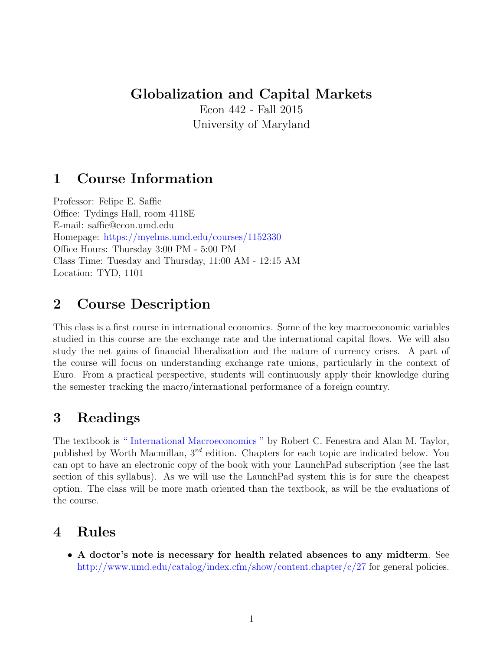#### Globalization and Capital Markets

Econ 442 - Fall 2015 University of Maryland

### 1 Course Information

Professor: Felipe E. Saffie Office: Tydings Hall, room 4118E E-mail: saffie@econ.umd.edu Homepage: <https://myelms.umd.edu/courses/1152330> Office Hours: Thursday 3:00 PM - 5:00 PM Class Time: Tuesday and Thursday, 11:00 AM - 12:15 AM Location: TYD, 1101

### 2 Course Description

This class is a first course in international economics. Some of the key macroeconomic variables studied in this course are the exchange rate and the international capital flows. We will also study the net gains of financial liberalization and the nature of currency crises. A part of the course will focus on understanding exchange rate unions, particularly in the context of Euro. From a practical perspective, students will continuously apply their knowledge during the semester tracking the macro/international performance of a foreign country.

# 3 Readings

The textbook is [" International Macroeconomics "](http://www.amazon.com/International-Macroeconomics-Robert-C-Feenstra/dp/1429278439/ref=sr_1_1?s=books&ie=UTF8&qid=1439838155&sr=1-1&keywords=international+macroeconomics) by Robert C. Fenestra and Alan M. Taylor, published by Worth Macmillan,  $3^{rd}$  edition. Chapters for each topic are indicated below. You can opt to have an electronic copy of the book with your LaunchPad subscription (see the last section of this syllabus). As we will use the LaunchPad system this is for sure the cheapest option. The class will be more math oriented than the textbook, as will be the evaluations of the course.

# 4 Rules

• A doctor's note is necessary for health related absences to any midterm. See <http://www.umd.edu/catalog/index.cfm/show/content.chapter/c/27> for general policies.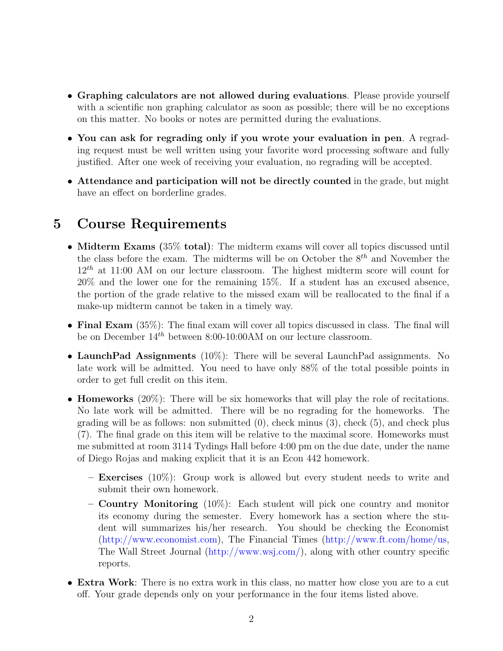- Graphing calculators are not allowed during evaluations. Please provide yourself with a scientific non graphing calculator as soon as possible; there will be no exceptions on this matter. No books or notes are permitted during the evaluations.
- You can ask for regrading only if you wrote your evaluation in pen. A regrading request must be well written using your favorite word processing software and fully justified. After one week of receiving your evaluation, no regrading will be accepted.
- Attendance and participation will not be directly counted in the grade, but might have an effect on borderline grades.

# 5 Course Requirements

- Midterm Exams (35% total): The midterm exams will cover all topics discussed until the class before the exam. The midterms will be on October the  $8^{th}$  and November the  $12^{th}$  at 11:00 AM on our lecture classroom. The highest midterm score will count for 20% and the lower one for the remaining 15%. If a student has an excused absence, the portion of the grade relative to the missed exam will be reallocated to the final if a make-up midterm cannot be taken in a timely way.
- Final Exam (35%): The final exam will cover all topics discussed in class. The final will be on December  $14^{th}$  between 8:00-10:00AM on our lecture classroom.
- LaunchPad Assignments (10%): There will be several LaunchPad assignments. No late work will be admitted. You need to have only 88% of the total possible points in order to get full credit on this item.
- **Homeworks**  $(20\%)$ : There will be six homeworks that will play the role of recitations. No late work will be admitted. There will be no regrading for the homeworks. The grading will be as follows: non submitted  $(0)$ , check minus  $(3)$ , check  $(5)$ , and check plus (7). The final grade on this item will be relative to the maximal score. Homeworks must me submitted at room 3114 Tydings Hall before 4:00 pm on the due date, under the name of Diego Rojas and making explicit that it is an Econ 442 homework.
	- **Exercises** (10%): Group work is allowed but every student needs to write and submit their own homework.
	- Country Monitoring (10%): Each student will pick one country and monitor its economy during the semester. Every homework has a section where the student will summarizes his/her research. You should be checking the Economist [\(http://www.economist.com\)](http://www.economist.com), The Financial Times [\(http://www.ft.com/home/us,](http://www.ft.com/home/us) The Wall Street Journal [\(http://www.wsj.com/\)](http://www.wsj.com/), along with other country specific reports.
- **Extra Work**: There is no extra work in this class, no matter how close you are to a cut off. Your grade depends only on your performance in the four items listed above.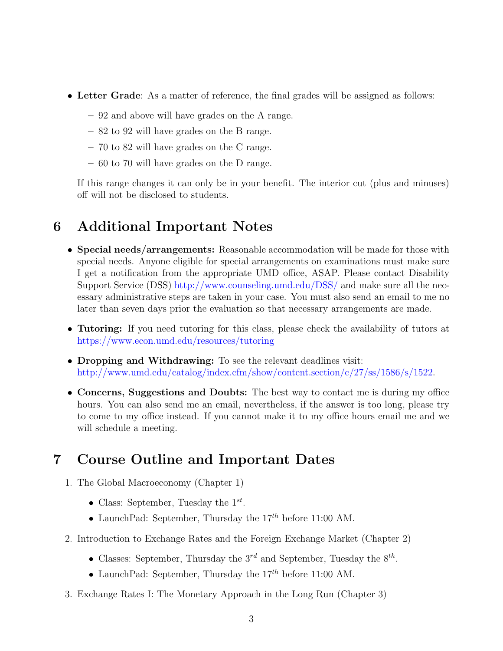- Letter Grade: As a matter of reference, the final grades will be assigned as follows:
	- 92 and above will have grades on the A range.
	- 82 to 92 will have grades on the B range.
	- 70 to 82 will have grades on the C range.
	- 60 to 70 will have grades on the D range.

If this range changes it can only be in your benefit. The interior cut (plus and minuses) off will not be disclosed to students.

### 6 Additional Important Notes

- Special needs/arrangements: Reasonable accommodation will be made for those with special needs. Anyone eligible for special arrangements on examinations must make sure I get a notification from the appropriate UMD office, ASAP. Please contact Disability Support Service (DSS) <http://www.counseling.umd.edu/DSS/> and make sure all the necessary administrative steps are taken in your case. You must also send an email to me no later than seven days prior the evaluation so that necessary arrangements are made.
- Tutoring: If you need tutoring for this class, please check the availability of tutors at <https://www.econ.umd.edu/resources/tutoring>
- Dropping and Withdrawing: To see the relevant deadlines visit: [http://www.umd.edu/catalog/index.cfm/show/content.section/c/27/ss/1586/s/1522.](http://www.umd.edu/catalog/index.cfm/show/content.section/c/27/ss/1586/s/1522)
- Concerns, Suggestions and Doubts: The best way to contact me is during my office hours. You can also send me an email, nevertheless, if the answer is too long, please try to come to my office instead. If you cannot make it to my office hours email me and we will schedule a meeting.

#### 7 Course Outline and Important Dates

- 1. The Global Macroeconomy (Chapter 1)
	- Class: September, Tuesday the  $1^{st}$ .
	- LaunchPad: September, Thursday the  $17^{th}$  before 11:00 AM.
- 2. Introduction to Exchange Rates and the Foreign Exchange Market (Chapter 2)
	- Classes: September, Thursday the  $3^{rd}$  and September, Tuesday the  $8^{th}$ .
	- LaunchPad: September, Thursday the  $17^{th}$  before 11:00 AM.
- 3. Exchange Rates I: The Monetary Approach in the Long Run (Chapter 3)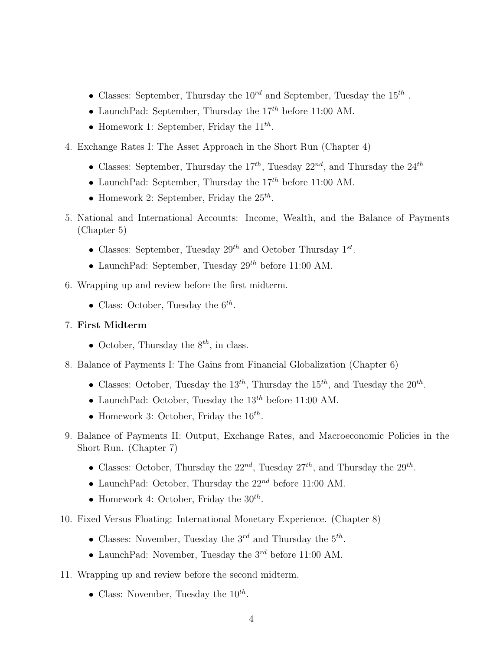- Classes: September, Thursday the  $10^{rd}$  and September, Tuesday the  $15^{th}$ .
- LaunchPad: September, Thursday the  $17^{th}$  before 11:00 AM.
- Homework 1: September, Friday the  $11^{th}$ .
- 4. Exchange Rates I: The Asset Approach in the Short Run (Chapter 4)
	- Classes: September, Thursday the  $17^{th}$ , Tuesday  $22^{nd}$ , and Thursday the  $24^{th}$
	- LaunchPad: September, Thursday the  $17^{th}$  before 11:00 AM.
	- Homework 2: September, Friday the  $25^{th}$ .
- 5. National and International Accounts: Income, Wealth, and the Balance of Payments (Chapter 5)
	- Classes: September, Tuesday  $29^{th}$  and October Thursday  $1^{st}$ .
	- LaunchPad: September, Tuesday  $29^{th}$  before 11:00 AM.
- 6. Wrapping up and review before the first midterm.
	- Class: October, Tuesday the  $6^{th}$ .

#### 7. First Midterm

- October, Thursday the  $8^{th}$ , in class.
- 8. Balance of Payments I: The Gains from Financial Globalization (Chapter 6)
	- Classes: October, Tuesday the  $13^{th}$ , Thursday the  $15^{th}$ , and Tuesday the  $20^{th}$ .
	- LaunchPad: October, Tuesday the  $13^{th}$  before 11:00 AM.
	- Homework 3: October, Friday the  $16^{th}$ .
- 9. Balance of Payments II: Output, Exchange Rates, and Macroeconomic Policies in the Short Run. (Chapter 7)
	- Classes: October, Thursday the  $22^{nd}$ , Tuesday  $27^{th}$ , and Thursday the  $29^{th}$ .
	- LaunchPad: October, Thursday the  $22^{nd}$  before 11:00 AM.
	- Homework 4: October, Friday the  $30^{th}$ .
- 10. Fixed Versus Floating: International Monetary Experience. (Chapter 8)
	- Classes: November, Tuesday the  $3^{rd}$  and Thursday the  $5^{th}$ .
	- LaunchPad: November, Tuesday the  $3^{rd}$  before 11:00 AM.
- 11. Wrapping up and review before the second midterm.
	- Class: November, Tuesday the  $10^{th}$ .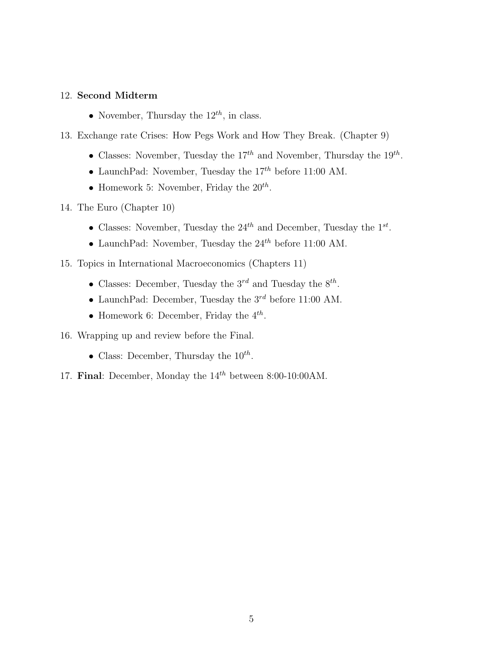#### 12. Second Midterm

- November, Thursday the  $12^{th}$ , in class.
- 13. Exchange rate Crises: How Pegs Work and How They Break. (Chapter 9)
	- Classes: November, Tuesday the  $17^{th}$  and November, Thursday the  $19^{th}$ .
	- LaunchPad: November, Tuesday the  $17^{th}$  before 11:00 AM.
	- Homework 5: November, Friday the  $20^{th}$ .
- 14. The Euro (Chapter 10)
	- Classes: November, Tuesday the  $24^{th}$  and December, Tuesday the  $1^{st}$ .
	- LaunchPad: November, Tuesday the  $24^{th}$  before 11:00 AM.
- 15. Topics in International Macroeconomics (Chapters 11)
	- Classes: December, Tuesday the  $3^{rd}$  and Tuesday the  $8^{th}$ .
	- LaunchPad: December, Tuesday the  $3^{rd}$  before 11:00 AM.
	- Homework 6: December, Friday the  $4^{th}$ .
- 16. Wrapping up and review before the Final.
	- Class: December, Thursday the  $10^{th}$ .
- 17. Final: December, Monday the  $14^{th}$  between 8:00-10:00AM.